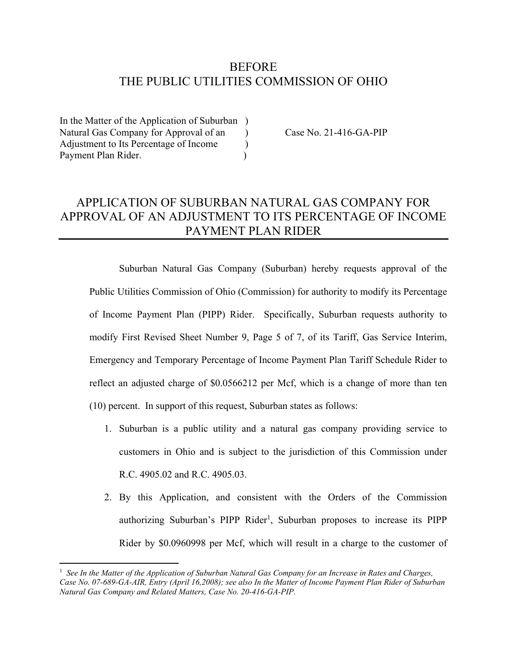## BEFORE THE PUBLIC UTILITIES COMMISSION OF OHIO

In the Matter of the Application of Suburban ) Natural Gas Company for Approval of an  $\qquad$ ) Adjustment to Its Percentage of Income Payment Plan Rider.

Case No. 21-416-GA-PIP

# APPLICATION OF SUBURBAN NATURAL GAS COMPANY FOR APPROVAL OF AN ADJUSTMENT TO ITS PERCENTAGE OF INCOME PAYMENT PLAN RIDER

Suburban Natural Gas Company (Suburban) hereby requests approval of the Public Utilities Commission of Ohio (Commission) for authority to modify its Percentage of Income Payment Plan (PIPP) Rider. Specifically, Suburban requests authority to modify First Revised Sheet Number 9, Page 5 of 7, of its Tariff, Gas Service Interim, Emergency and Temporary Percentage of Income Payment Plan Tariff Schedule Rider to reflect an adjusted charge of \$0.0566212 per Mcf, which is a change of more than ten (10) percent. In support of this request, Suburban states as follows:

- 1. Suburban is a public utility and a natural gas company providing service to customers in Ohio and is subject to the jurisdiction of this Commission under R.C. 4905.02 and R.C. 4905.03.
- 2. By this Application, and consistent with the Orders of the Commission authorizing Suburban's PIPP Rider<sup>1</sup>, Suburban proposes to increase its PIPP Rider by \$0.0960998 per Mcf, which will result in a charge to the customer of

<sup>&</sup>lt;sup>1</sup> See In the Matter of the Application of Suburban Natural Gas Company for an Increase in Rates and Charges, *Case No. 07-689-GA-AIR, Entry (April 16,2008); see also In the Matter of Income Payment Plan Rider of Suburban Natural Gas Company and Related Matters, Case No. 20-416-GA-PIP.*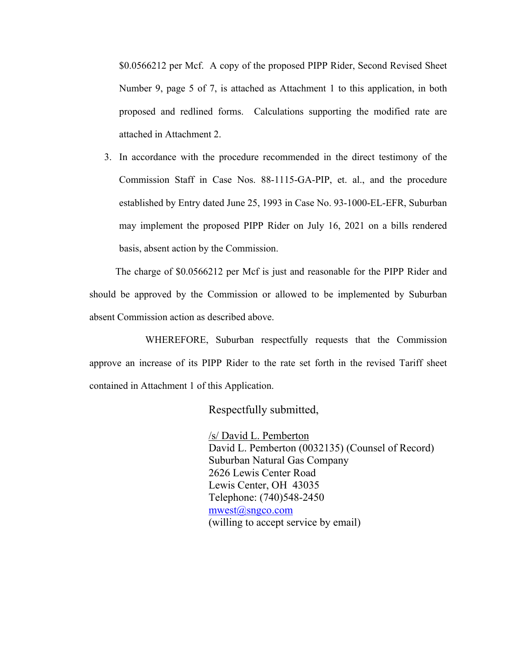\$0.0566212 per Mcf. A copy of the proposed PIPP Rider, Second Revised Sheet Number 9, page 5 of 7, is attached as Attachment 1 to this application, in both proposed and redlined forms. Calculations supporting the modified rate are attached in Attachment 2.

3. In accordance with the procedure recommended in the direct testimony of the Commission Staff in Case Nos. 88-1115-GA-PIP, et. al., and the procedure established by Entry dated June 25, 1993 in Case No. 93-1000-EL-EFR, Suburban may implement the proposed PIPP Rider on July 16, 2021 on a bills rendered basis, absent action by the Commission.

The charge of \$0.0566212 per Mcf is just and reasonable for the PIPP Rider and should be approved by the Commission or allowed to be implemented by Suburban absent Commission action as described above.

WHEREFORE, Suburban respectfully requests that the Commission approve an increase of its PIPP Rider to the rate set forth in the revised Tariff sheet contained in Attachment 1 of this Application.

Respectfully submitted,

 /s/ David L. Pemberton David L. Pemberton (0032135) (Counsel of Record) Suburban Natural Gas Company 2626 Lewis Center Road Lewis Center, OH 43035 Telephone: (740)548-2450 mwest@sngco.com (willing to accept service by email)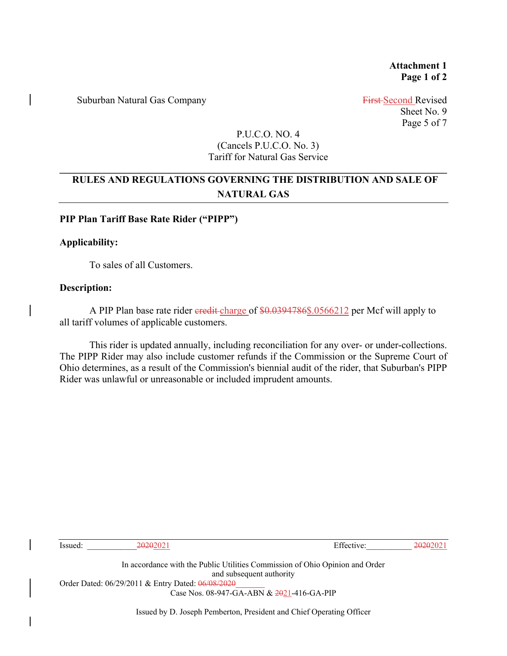**Attachment 1 Page 1 of 2** 

Suburban Natural Gas Company First Second Revised

Sheet No. 9 Page 5 of 7

### P.U.C.O. NO. 4 (Cancels P.U.C.O. No. 3) Tariff for Natural Gas Service

## **RULES AND REGULATIONS GOVERNING THE DISTRIBUTION AND SALE OF NATURAL GAS**

**\_\_\_\_\_\_\_\_\_\_\_\_\_\_\_\_\_\_\_\_\_\_\_\_\_\_\_\_\_\_\_\_\_\_\_\_\_\_\_\_\_\_\_\_\_\_\_\_\_\_\_\_\_\_\_\_\_\_\_\_\_\_\_\_\_\_\_\_\_\_\_\_\_\_\_\_\_\_** 

#### **PIP Plan Tariff Base Rate Rider ("PIPP")**

#### **Applicability:**

To sales of all Customers.

#### **Description:**

A PIP Plan base rate rider eredit-charge of \$0.0394786\$.0566212 per Mcf will apply to all tariff volumes of applicable customers.

This rider is updated annually, including reconciliation for any over- or under-collections. The PIPP Rider may also include customer refunds if the Commission or the Supreme Court of Ohio determines, as a result of the Commission's biennial audit of the rider, that Suburban's PIPP Rider was unlawful or unreasonable or included imprudent amounts.

Issued: 20202021 20202021 Effective: 20202021 In accordance with the Public Utilities Commission of Ohio Opinion and Order and subsequent authority Order Dated: 06/29/2011 & Entry Dated: 06/08/2020 Case Nos. 08-947-GA-ABN & 2021-416-GA-PIP

Issued by D. Joseph Pemberton, President and Chief Operating Officer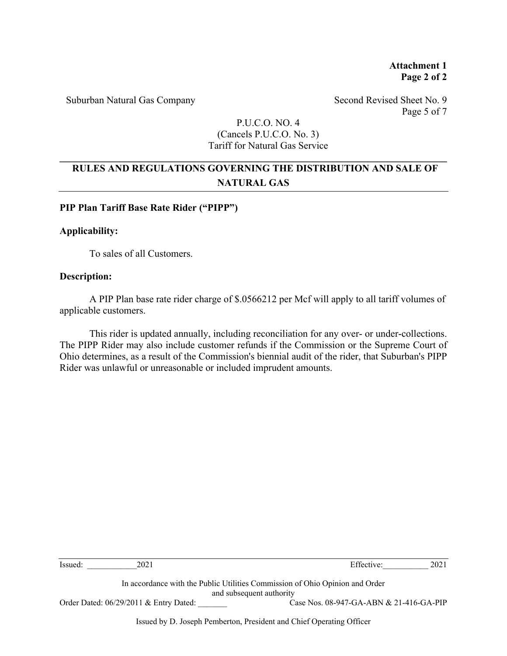Suburban Natural Gas Company Second Revised Sheet No. 9

Page 5 of 7

### P.U.C.O. NO. 4 (Cancels P.U.C.O. No. 3) Tariff for Natural Gas Service

## **RULES AND REGULATIONS GOVERNING THE DISTRIBUTION AND SALE OF NATURAL GAS**

**\_\_\_\_\_\_\_\_\_\_\_\_\_\_\_\_\_\_\_\_\_\_\_\_\_\_\_\_\_\_\_\_\_\_\_\_\_\_\_\_\_\_\_\_\_\_\_\_\_\_\_\_\_\_\_\_\_\_\_\_\_\_\_\_\_\_\_\_\_\_\_\_\_\_\_\_\_\_** 

### **PIP Plan Tariff Base Rate Rider ("PIPP")**

### **Applicability:**

To sales of all Customers.

### **Description:**

A PIP Plan base rate rider charge of \$.0566212 per Mcf will apply to all tariff volumes of applicable customers.

This rider is updated annually, including reconciliation for any over- or under-collections. The PIPP Rider may also include customer refunds if the Commission or the Supreme Court of Ohio determines, as a result of the Commission's biennial audit of the rider, that Suburban's PIPP Rider was unlawful or unreasonable or included imprudent amounts.

| 2021<br>Issued:                                                                                          | Effective:<br>2021                                                   |  |  |  |  |  |
|----------------------------------------------------------------------------------------------------------|----------------------------------------------------------------------|--|--|--|--|--|
| In accordance with the Public Utilities Commission of Ohio Opinion and Order<br>and subsequent authority |                                                                      |  |  |  |  |  |
| Order Dated: 06/29/2011 & Entry Dated:                                                                   | Case Nos. 08-947-GA-ABN & 21-416-GA-PIP                              |  |  |  |  |  |
|                                                                                                          | Issued by D. Joseph Pemberton, President and Chief Operating Officer |  |  |  |  |  |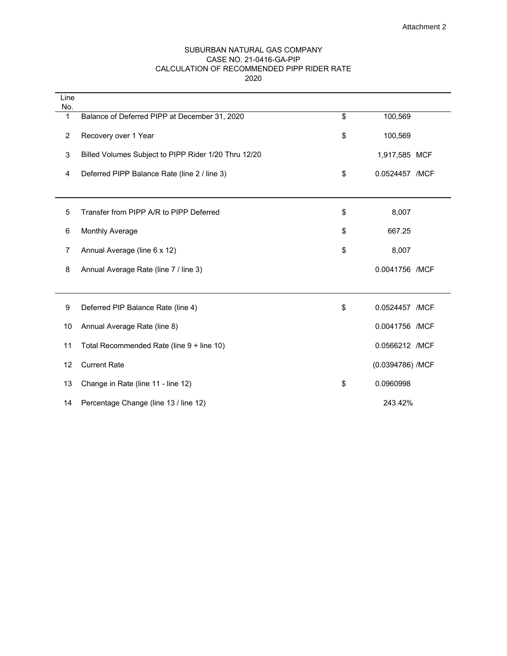#### SUBURBAN NATURAL GAS COMPANY CALCULATION OF RECOMMENDED PIPP RIDER RATE 2020 CASE NO. 21-0416-GA-PIP

| Line<br>No.               |                                                      |    |                  |  |
|---------------------------|------------------------------------------------------|----|------------------|--|
| $\mathbf{1}$              | Balance of Deferred PIPP at December 31, 2020        |    | 100,569          |  |
| $\overline{c}$            | Recovery over 1 Year                                 |    | 100,569          |  |
| $\ensuremath{\mathsf{3}}$ | Billed Volumes Subject to PIPP Rider 1/20 Thru 12/20 |    | 1,917,585 MCF    |  |
| 4                         | Deferred PIPP Balance Rate (line 2 / line 3)         | \$ | 0.0524457 /MCF   |  |
|                           |                                                      |    |                  |  |
| 5                         | Transfer from PIPP A/R to PIPP Deferred              | \$ | 8,007            |  |
| 6                         | <b>Monthly Average</b>                               | \$ | 667.25           |  |
| 7                         | Annual Average (line 6 x 12)                         | \$ | 8,007            |  |
| 8                         | Annual Average Rate (line 7 / line 3)                |    | 0.0041756 /MCF   |  |
|                           |                                                      |    |                  |  |
| $\boldsymbol{9}$          | Deferred PIP Balance Rate (line 4)                   | \$ | 0.0524457 /MCF   |  |
| 10                        | Annual Average Rate (line 8)                         |    | 0.0041756 /MCF   |  |
| 11                        | Total Recommended Rate (line 9 + line 10)            |    | 0.0566212 /MCF   |  |
| 12                        | <b>Current Rate</b>                                  |    | (0.0394786) /MCF |  |
| 13                        | Change in Rate (line 11 - line 12)                   | \$ | 0.0960998        |  |
| 14                        | Percentage Change (line 13 / line 12)                |    | 243.42%          |  |